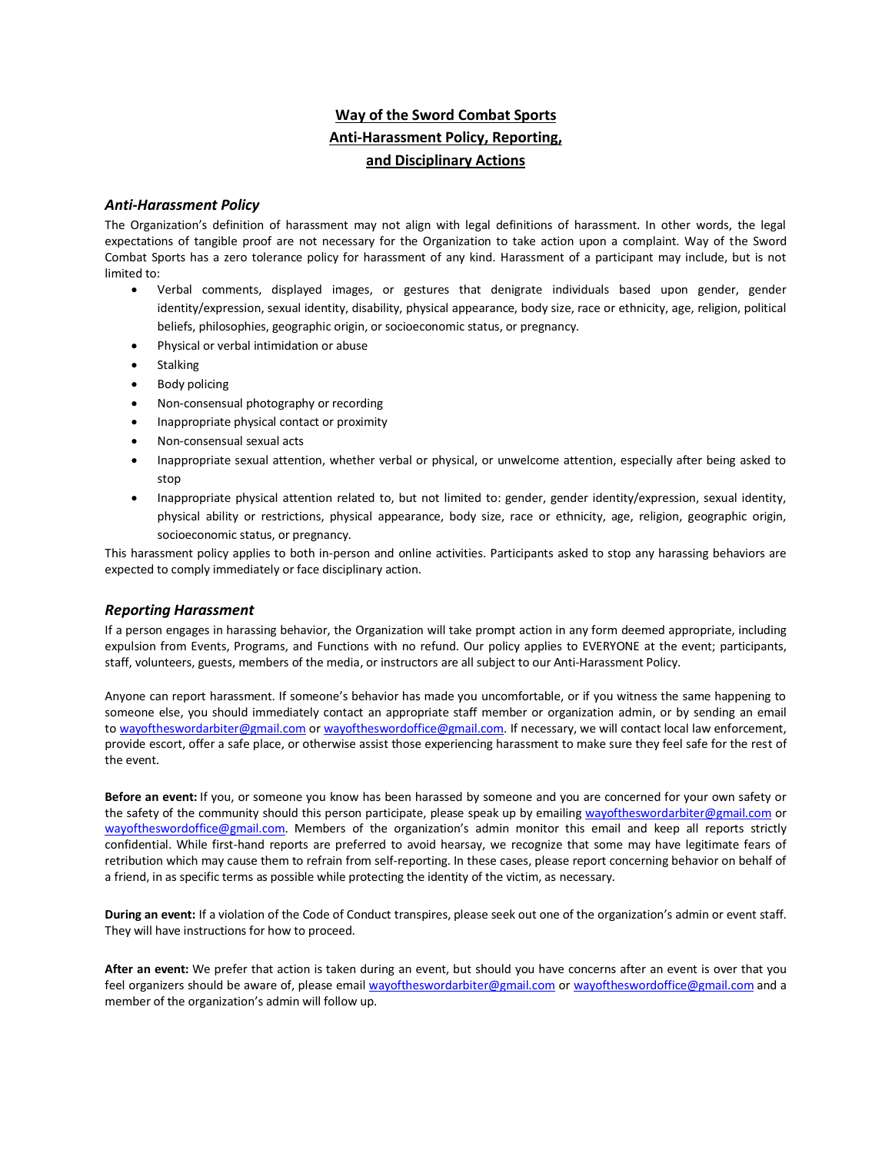# **Way of the Sword Combat Sports Anti-Harassment Policy, Reporting, and Disciplinary Actions**

#### *Anti-Harassment Policy*

The Organization's definition of harassment may not align with legal definitions of harassment. In other words, the legal expectations of tangible proof are not necessary for the Organization to take action upon a complaint. Way of the Sword Combat Sports has a zero tolerance policy for harassment of any kind. Harassment of a participant may include, but is not limited to:

- Verbal comments, displayed images, or gestures that denigrate individuals based upon gender, gender identity/expression, sexual identity, disability, physical appearance, body size, race or ethnicity, age, religion, political beliefs, philosophies, geographic origin, or socioeconomic status, or pregnancy.
- Physical or verbal intimidation or abuse
- **Stalking**
- Body policing
- Non-consensual photography or recording
- Inappropriate physical contact or proximity
- Non-consensual sexual acts
- Inappropriate sexual attention, whether verbal or physical, or unwelcome attention, especially after being asked to stop
- Inappropriate physical attention related to, but not limited to: gender, gender identity/expression, sexual identity, physical ability or restrictions, physical appearance, body size, race or ethnicity, age, religion, geographic origin, socioeconomic status, or pregnancy.

This harassment policy applies to both in-person and online activities. Participants asked to stop any harassing behaviors are expected to comply immediately or face disciplinary action.

## *Reporting Harassment*

If a person engages in harassing behavior, the Organization will take prompt action in any form deemed appropriate, including expulsion from Events, Programs, and Functions with no refund. Our policy applies to EVERYONE at the event; participants, staff, volunteers, guests, members of the media, or instructors are all subject to our Anti-Harassment Policy.

Anyone can report harassment. If someone's behavior has made you uncomfortable, or if you witness the same happening to someone else, you should immediately contact an appropriate staff member or organization admin, or by sending an email to [wayoftheswordarbiter@gmail.com](mailto:wayoftheswordarbiter@gmail.com) o[r wayoftheswordoffice@gmail.com.](mailto:wayoftheswordoffice@gmail.com) If necessary, we will contact local law enforcement, provide escort, offer a safe place, or otherwise assist those experiencing harassment to make sure they feel safe for the rest of the event.

**Before an event:** If you, or someone you know has been harassed by someone and you are concerned for your own safety or the safety of the community should this person participate, please speak up by emailing [wayoftheswordarbiter@gmail.com](mailto:wayoftheswordarbiter@gmail.com) or [wayoftheswordoffice@gmail.com.](mailto:wayoftheswordoffice@gmail.com) Members of the organization's admin monitor this email and keep all reports strictly confidential. While first-hand reports are preferred to avoid hearsay, we recognize that some may have legitimate fears of retribution which may cause them to refrain from self-reporting. In these cases, please report concerning behavior on behalf of a friend, in as specific terms as possible while protecting the identity of the victim, as necessary.

**During an event:** If a violation of the Code of Conduct transpires, please seek out one of the organization's admin or event staff. They will have instructions for how to proceed.

**After an event:** We prefer that action is taken during an event, but should you have concerns after an event is over that you feel organizers should be aware of, please email [wayoftheswordarbiter@gmail.com](mailto:wayoftheswordarbiter@gmail.com) or [wayoftheswordoffice@gmail.com](mailto:wayoftheswordoffice@gmail.com) and a member of the organization's admin will follow up.